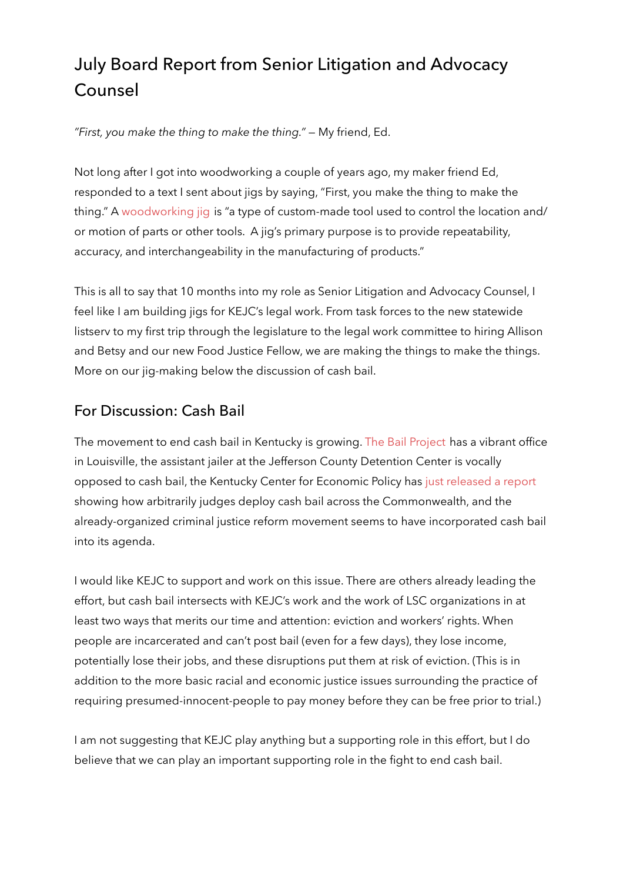# July Board Report from Senior Litigation and Advocacy Counsel

*"First, you make the thing to make the thing."* — My friend, Ed.

Not long after I got into woodworking a couple of years ago, my maker friend Ed, responded to a text I sent about jigs by saying, "First, you make the thing to make the thing." A [woodworking jig](http://%20) is "a type of custom-made tool used to control the location and/ or motion of parts or other tools. A jig's primary purpose is to provide repeatability, accuracy, and interchangeability in the manufacturing of products."

This is all to say that 10 months into my role as Senior Litigation and Advocacy Counsel, I feel like I am building jigs for KEJC's legal work. From task forces to the new statewide listserv to my first trip through the legislature to the legal work committee to hiring Allison and Betsy and our new Food Justice Fellow, we are making the things to make the things. More on our jig-making below the discussion of cash bail.

# For Discussion: Cash Bail

The movement to end cash bail in Kentucky is growing. [The Bail Project](https://bailproject.org/) has a vibrant office in Louisville, the assistant jailer at the Jefferson County Detention Center is vocally opposed to cash bail, the Kentucky Center for Economic Policy has [just released a report](https://kypolicy.org/disparate-justice-where-kentuckians-live-determines-whether-they-stay-in-jail/) showing how arbitrarily judges deploy cash bail across the Commonwealth, and the already-organized criminal justice reform movement seems to have incorporated cash bail into its agenda.

I would like KEJC to support and work on this issue. There are others already leading the effort, but cash bail intersects with KEJC's work and the work of LSC organizations in at least two ways that merits our time and attention: eviction and workers' rights. When people are incarcerated and can't post bail (even for a few days), they lose income, potentially lose their jobs, and these disruptions put them at risk of eviction. (This is in addition to the more basic racial and economic justice issues surrounding the practice of requiring presumed-innocent-people to pay money before they can be free prior to trial.)

I am not suggesting that KEJC play anything but a supporting role in this effort, but I do believe that we can play an important supporting role in the fight to end cash bail.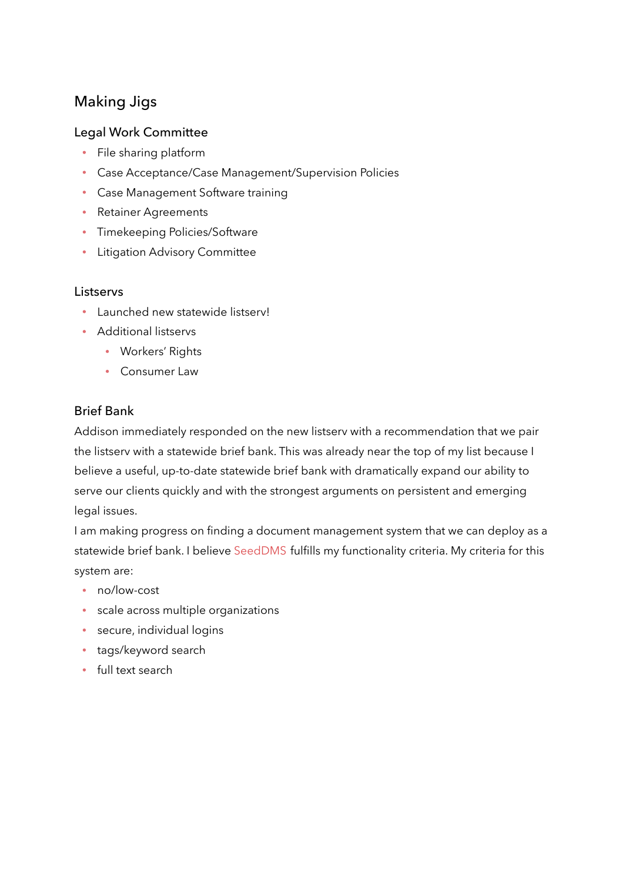# Making Jigs

#### Legal Work Committee

- File sharing platform
- Case Acceptance/Case Management/Supervision Policies  $\bullet$  .
- Case Management Software training
- **Retainer Agreements**
- Timekeeping Policies/Software
- **•** Litigation Advisory Committee

#### **Listservs**

- Launched new statewide listserv!
- Additional listservs
	- Workers' Rights
	- Consumer Law

#### Brief Bank

Addison immediately responded on the new listserv with a recommendation that we pair the listserv with a statewide brief bank. This was already near the top of my list because I believe a useful, up-to-date statewide brief bank with dramatically expand our ability to serve our clients quickly and with the strongest arguments on persistent and emerging legal issues.

I am making progress on finding a document management system that we can deploy as a statewide brief bank. I believe [SeedDMS](https://www.seeddms.org/index.php?id=2) fulfills my functionality criteria. My criteria for this system are:

- no/low-cost
- scale across multiple organizations
- secure, individual logins
- tags/keyword search
- full text search